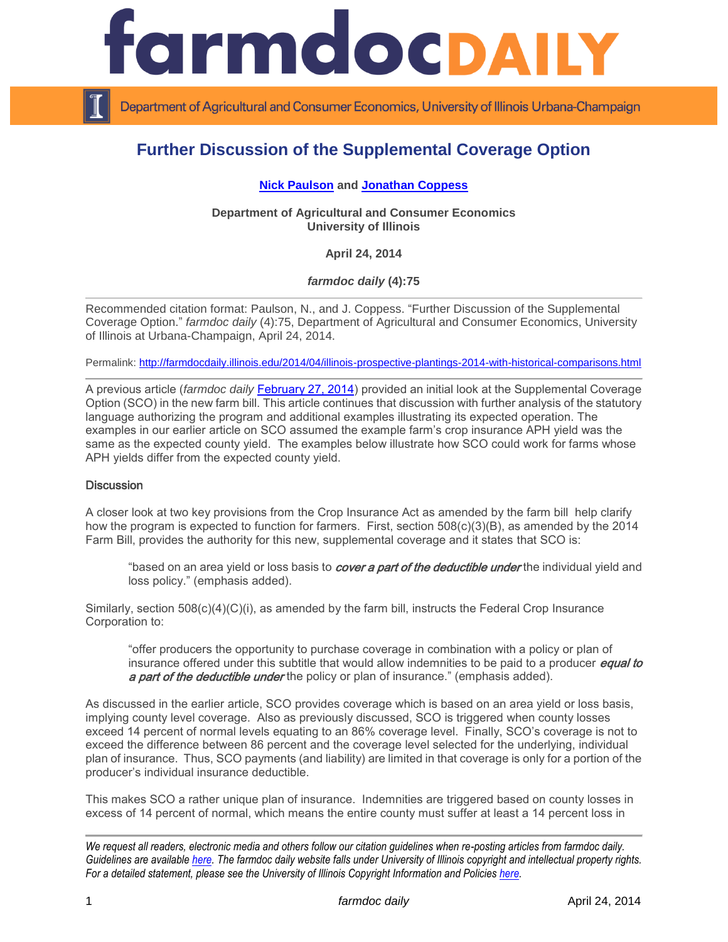

Department of Agricultural and Consumer Economics, University of Illinois Urbana-Champaign

# **Further Discussion of the Supplemental Coverage Option**

## **[Nick Paulson](http://www.farmdoc.illinois.edu/paulson) and [Jonathan Coppess](http://illinois.edu/ds/detail?userId=jwcoppes&search_type=all&search=*%20coppess&from_result_list=true&skinId=0&sub=)**

**Department of Agricultural and Consumer Economics University of Illinois**

**April 24, 2014**

*farmdoc daily* **(4):75**

Recommended citation format: Paulson, N., and J. Coppess. "Further Discussion of the Supplemental Coverage Option." *farmdoc daily* (4):75, Department of Agricultural and Consumer Economics, University of Illinois at Urbana-Champaign, April 24, 2014.

Permalink:<http://farmdocdaily.illinois.edu/2014/04/illinois-prospective-plantings-2014-with-historical-comparisons.html>

A previous article (*farmdoc daily* [February 27, 2014\)](http://farmdocdaily.illinois.edu/2014/02/2014-farm-bill-the-supplementa.html) provided an initial look at the Supplemental Coverage Option (SCO) in the new farm bill. This article continues that discussion with further analysis of the statutory language authorizing the program and additional examples illustrating its expected operation. The examples in our earlier article on SCO assumed the example farm's crop insurance APH yield was the same as the expected county yield. The examples below illustrate how SCO could work for farms whose APH yields differ from the expected county yield.

#### **Discussion**

A closer look at two key provisions from the Crop Insurance Act as amended by the farm bill help clarify how the program is expected to function for farmers. First, section 508(c)(3)(B), as amended by the 2014 Farm Bill, provides the authority for this new, supplemental coverage and it states that SCO is:

"based on an area yield or loss basis to *cover a part of the deductible under* the individual yield and loss policy." (emphasis added).

Similarly, section  $508(c)(4)(C)(i)$ , as amended by the farm bill, instructs the Federal Crop Insurance Corporation to:

"offer producers the opportunity to purchase coverage in combination with a policy or plan of insurance offered under this subtitle that would allow indemnities to be paid to a producer *equal to* a part of the deductible under the policy or plan of insurance." (emphasis added).

As discussed in the earlier article, SCO provides coverage which is based on an area yield or loss basis, implying county level coverage. Also as previously discussed, SCO is triggered when county losses exceed 14 percent of normal levels equating to an 86% coverage level. Finally, SCO's coverage is not to exceed the difference between 86 percent and the coverage level selected for the underlying, individual plan of insurance. Thus, SCO payments (and liability) are limited in that coverage is only for a portion of the producer's individual insurance deductible.

This makes SCO a rather unique plan of insurance. Indemnities are triggered based on county losses in excess of 14 percent of normal, which means the entire county must suffer at least a 14 percent loss in

*We request all readers, electronic media and others follow our citation guidelines when re-posting articles from farmdoc daily. Guidelines are available [here.](http://farmdocdaily.illinois.edu/citationguide.html) The farmdoc daily website falls under University of Illinois copyright and intellectual property rights. For a detailed statement, please see the University of Illinois Copyright Information and Policies [here.](http://www.cio.illinois.edu/policies/copyright/)*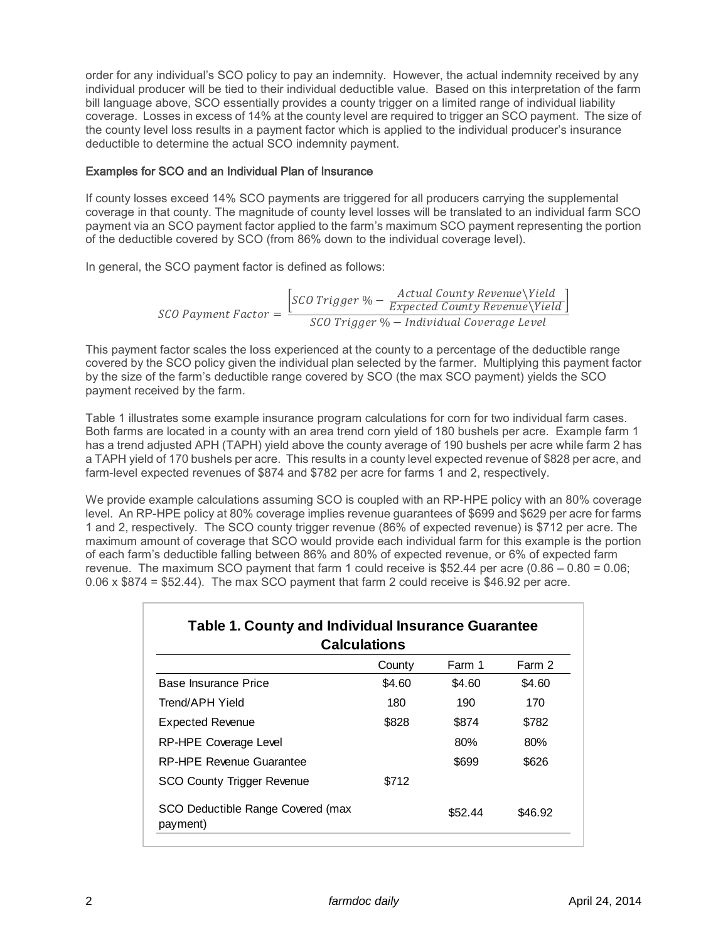order for any individual's SCO policy to pay an indemnity. However, the actual indemnity received by any individual producer will be tied to their individual deductible value. Based on this interpretation of the farm bill language above, SCO essentially provides a county trigger on a limited range of individual liability coverage. Losses in excess of 14% at the county level are required to trigger an SCO payment. The size of the county level loss results in a payment factor which is applied to the individual producer's insurance deductible to determine the actual SCO indemnity payment.

## Examples for SCO and an Individual Plan of Insurance

If county losses exceed 14% SCO payments are triggered for all producers carrying the supplemental coverage in that county. The magnitude of county level losses will be translated to an individual farm SCO payment via an SCO payment factor applied to the farm's maximum SCO payment representing the portion of the deductible covered by SCO (from 86% down to the individual coverage level).

In general, the SCO payment factor is defined as follows:

 $SCO$  Payment Factor =  $\left[ SCO\ Trigger\ \%\ -\ \frac{Actual\ County\ Review\Yield}{Expected\ Country\ Revenue\Yield}\right]$ SCO Trigger % – Individual Coverage Level

This payment factor scales the loss experienced at the county to a percentage of the deductible range covered by the SCO policy given the individual plan selected by the farmer. Multiplying this payment factor by the size of the farm's deductible range covered by SCO (the max SCO payment) yields the SCO payment received by the farm.

Table 1 illustrates some example insurance program calculations for corn for two individual farm cases. Both farms are located in a county with an area trend corn yield of 180 bushels per acre. Example farm 1 has a trend adjusted APH (TAPH) yield above the county average of 190 bushels per acre while farm 2 has a TAPH yield of 170 bushels per acre. This results in a county level expected revenue of \$828 per acre, and farm-level expected revenues of \$874 and \$782 per acre for farms 1 and 2, respectively.

We provide example calculations assuming SCO is coupled with an RP-HPE policy with an 80% coverage level. An RP-HPE policy at 80% coverage implies revenue guarantees of \$699 and \$629 per acre for farms 1 and 2, respectively. The SCO county trigger revenue (86% of expected revenue) is \$712 per acre. The maximum amount of coverage that SCO would provide each individual farm for this example is the portion of each farm's deductible falling between 86% and 80% of expected revenue, or 6% of expected farm revenue. The maximum SCO payment that farm 1 could receive is \$52.44 per acre (0.86 – 0.80 = 0.06; 0.06 x \$874 = \$52.44). The max SCO payment that farm 2 could receive is \$46.92 per acre.

| Table 1. County and Individual Insurance Guarantee<br><b>Calculations</b> |        |         |         |  |  |
|---------------------------------------------------------------------------|--------|---------|---------|--|--|
|                                                                           | County | Farm 1  | Farm 2  |  |  |
| Base Insurance Price                                                      | \$4.60 | \$4.60  | \$4.60  |  |  |
| Trend/APH Yield                                                           | 180    | 190     | 170     |  |  |
| <b>Expected Revenue</b>                                                   | \$828  | \$874   | \$782   |  |  |
| RP-HPE Coverage Level                                                     |        | 80%     | 80%     |  |  |
| RP-HPE Revenue Guarantee                                                  |        | \$699   | \$626   |  |  |
| SCO County Trigger Revenue                                                | \$712  |         |         |  |  |
| SCO Deductible Range Covered (max<br>payment)                             |        | \$52.44 | \$46.92 |  |  |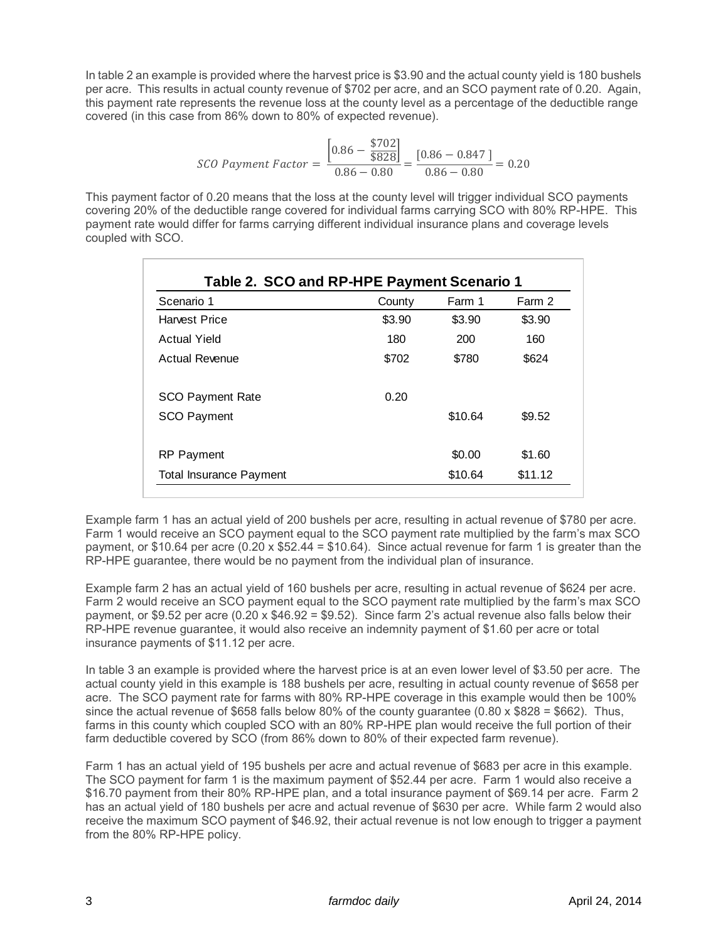In table 2 an example is provided where the harvest price is \$3.90 and the actual county yield is 180 bushels per acre. This results in actual county revenue of \$702 per acre, and an SCO payment rate of 0.20. Again, this payment rate represents the revenue loss at the county level as a percentage of the deductible range covered (in this case from 86% down to 80% of expected revenue).

$$
SCO Payment Factor = \frac{\left[0.86 - \frac{\$702}{\$828}\right]}{0.86 - 0.80} = \frac{\left[0.86 - 0.847\right]}{0.86 - 0.80} = 0.20
$$

This payment factor of 0.20 means that the loss at the county level will trigger individual SCO payments covering 20% of the deductible range covered for individual farms carrying SCO with 80% RP-HPE. This payment rate would differ for farms carrying different individual insurance plans and coverage levels coupled with SCO.

| Scenario 1                     | County | Farm 1  | Farm 2  |
|--------------------------------|--------|---------|---------|
| <b>Harvest Price</b>           | \$3.90 | \$3.90  | \$3.90  |
| Actual Yield                   | 180    | 200     | 160     |
| Actual Revenue                 | \$702  | \$780   | \$624   |
| <b>SCO Payment Rate</b>        | 0.20   |         |         |
| <b>SCO Payment</b>             |        | \$10.64 | \$9.52  |
| <b>RP Payment</b>              |        | \$0.00  | \$1.60  |
| <b>Total Insurance Payment</b> |        | \$10.64 | \$11.12 |

Example farm 1 has an actual yield of 200 bushels per acre, resulting in actual revenue of \$780 per acre. Farm 1 would receive an SCO payment equal to the SCO payment rate multiplied by the farm's max SCO payment, or \$10.64 per acre (0.20 x \$52.44 = \$10.64). Since actual revenue for farm 1 is greater than the RP-HPE guarantee, there would be no payment from the individual plan of insurance.

Example farm 2 has an actual yield of 160 bushels per acre, resulting in actual revenue of \$624 per acre. Farm 2 would receive an SCO payment equal to the SCO payment rate multiplied by the farm's max SCO payment, or \$9.52 per acre (0.20 x \$46.92 = \$9.52). Since farm 2's actual revenue also falls below their RP-HPE revenue guarantee, it would also receive an indemnity payment of \$1.60 per acre or total insurance payments of \$11.12 per acre.

In table 3 an example is provided where the harvest price is at an even lower level of \$3.50 per acre. The actual county yield in this example is 188 bushels per acre, resulting in actual county revenue of \$658 per acre. The SCO payment rate for farms with 80% RP-HPE coverage in this example would then be 100% since the actual revenue of \$658 falls below 80% of the county guarantee (0.80  $\times$  \$828 = \$662). Thus, farms in this county which coupled SCO with an 80% RP-HPE plan would receive the full portion of their farm deductible covered by SCO (from 86% down to 80% of their expected farm revenue).

Farm 1 has an actual yield of 195 bushels per acre and actual revenue of \$683 per acre in this example. The SCO payment for farm 1 is the maximum payment of \$52.44 per acre. Farm 1 would also receive a \$16.70 payment from their 80% RP-HPE plan, and a total insurance payment of \$69.14 per acre. Farm 2 has an actual yield of 180 bushels per acre and actual revenue of \$630 per acre. While farm 2 would also receive the maximum SCO payment of \$46.92, their actual revenue is not low enough to trigger a payment from the 80% RP-HPE policy.